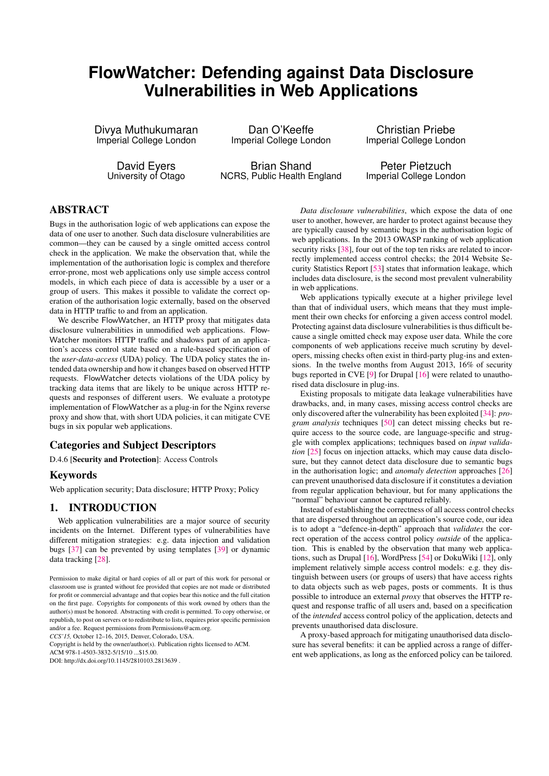# **FlowWatcher: Defending against Data Disclosure Vulnerabilities in Web Applications**

Divya Muthukumaran Imperial College London

> David Eyers University of Otago

Dan O'Keeffe Imperial College London

Brian Shand NCRS, Public Health England

Christian Priebe Imperial College London

Peter Pietzuch Imperial College London

# ABSTRACT

Bugs in the authorisation logic of web applications can expose the data of one user to another. Such data disclosure vulnerabilities are common—they can be caused by a single omitted access control check in the application. We make the observation that, while the implementation of the authorisation logic is complex and therefore error-prone, most web applications only use simple access control models, in which each piece of data is accessible by a user or a group of users. This makes it possible to validate the correct operation of the authorisation logic externally, based on the observed data in HTTP traffic to and from an application.

We describe FlowWatcher, an HTTP proxy that mitigates data disclosure vulnerabilities in unmodified web applications. Flow-Watcher monitors HTTP traffic and shadows part of an application's access control state based on a rule-based specification of the *user-data-access* (UDA) policy. The UDA policy states the intended data ownership and how it changes based on observed HTTP requests. FlowWatcher detects violations of the UDA policy by tracking data items that are likely to be unique across HTTP requests and responses of different users. We evaluate a prototype implementation of FlowWatcher as a plug-in for the Nginx reverse proxy and show that, with short UDA policies, it can mitigate CVE bugs in six popular web applications.

# Categories and Subject Descriptors

D.4.6 [Security and Protection]: Access Controls

#### Keywords

Web application security; Data disclosure; HTTP Proxy; Policy

# 1. INTRODUCTION

Web application vulnerabilities are a major source of security incidents on the Internet. Different types of vulnerabilities have different mitigation strategies: e.g. data injection and validation bugs [\[37\]](#page-12-0) can be prevented by using templates [\[39\]](#page-12-1) or dynamic data tracking [\[28\]](#page-12-2).

*CCS'15,* October 12–16, 2015, Denver, Colorado, USA.

Copyright is held by the owner/author(s). Publication rights licensed to ACM.

ACM 978-1-4503-3832-5/15/10 \$15.00

DOI: http://dx.doi.org/10.1145/2810103.2813639 .

*Data disclosure vulnerabilities*, which expose the data of one user to another, however, are harder to protect against because they are typically caused by semantic bugs in the authorisation logic of web applications. In the 2013 OWASP ranking of web application security risks [\[38\]](#page-12-3), four out of the top ten risks are related to incorrectly implemented access control checks; the 2014 Website Security Statistics Report [\[53\]](#page-12-4) states that information leakage, which includes data disclosure, is the second most prevalent vulnerability in web applications.

Web applications typically execute at a higher privilege level than that of individual users, which means that they must implement their own checks for enforcing a given access control model. Protecting against data disclosure vulnerabilities is thus difficult because a single omitted check may expose user data. While the core components of web applications receive much scrutiny by developers, missing checks often exist in third-party plug-ins and extensions. In the twelve months from August 2013, 16% of security bugs reported in CVE [\[9\]](#page-11-0) for Drupal [\[16\]](#page-11-1) were related to unauthorised data disclosure in plug-ins.

Existing proposals to mitigate data leakage vulnerabilities have drawbacks, and, in many cases, missing access control checks are only discovered after the vulnerability has been exploited [\[34\]](#page-12-5): *program analysis* techniques [\[50\]](#page-12-6) can detect missing checks but require access to the source code, are language-specific and struggle with complex applications; techniques based on *input validation* [\[25\]](#page-11-2) focus on injection attacks, which may cause data disclosure, but they cannot detect data disclosure due to semantic bugs in the authorisation logic; and *anomaly detection* approaches [\[26\]](#page-11-3) can prevent unauthorised data disclosure if it constitutes a deviation from regular application behaviour, but for many applications the "normal" behaviour cannot be captured reliably.

Instead of establishing the correctness of all access control checks that are dispersed throughout an application's source code, our idea is to adopt a "defence-in-depth" approach that *validates* the correct operation of the access control policy *outside* of the application. This is enabled by the observation that many web applications, such as Drupal [\[16\]](#page-11-1), WordPress [\[54\]](#page-12-7) or DokuWiki [\[12\]](#page-11-4), only implement relatively simple access control models: e.g. they distinguish between users (or groups of users) that have access rights to data objects such as web pages, posts or comments. It is thus possible to introduce an external *proxy* that observes the HTTP request and response traffic of all users and, based on a specification of the *intended* access control policy of the application, detects and prevents unauthorised data disclosure.

A proxy-based approach for mitigating unauthorised data disclosure has several benefits: it can be applied across a range of different web applications, as long as the enforced policy can be tailored.

Permission to make digital or hard copies of all or part of this work for personal or classroom use is granted without fee provided that copies are not made or distributed for profit or commercial advantage and that copies bear this notice and the full citation on the first page. Copyrights for components of this work owned by others than the author(s) must be honored. Abstracting with credit is permitted. To copy otherwise, or republish, to post on servers or to redistribute to lists, requires prior specific permission and/or a fee. Request permissions from Permissions@acm.org.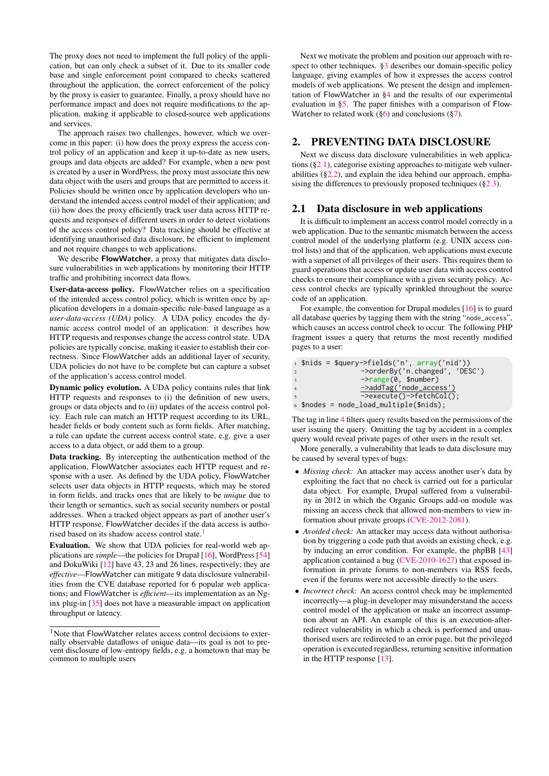The proxy does not need to implement the full policy of the application, but can only check a subset of it. Due to its smaller code base and single enforcement point compared to checks scattered throughout the application, the correct enforcement of the policy by the proxy is easier to guarantee. Finally, a proxy should have no performance impact and does not require modifications to the application, making it applicable to closed-source web applications and services.

The approach raises two challenges, however, which we overcome in this paper: (i) how does the proxy express the access control policy of an application and keep it up-to-date as new users, groups and data objects are added? For example, when a new post is created by a user in WordPress, the proxy must associate this new data object with the users and groups that are permitted to access it. Policies should be written once by application developers who understand the intended access control model of their application; and (ii) how does the proxy efficiently track user data across HTTP requests and responses of different users in order to detect violations of the access control policy? Data tracking should be effective at identifying unauthorised data disclosure, be efficient to implement and not require changes to web applications.

We describe **FlowWatcher**, a proxy that mitigates data disclosure vulnerabilities in web applications by monitoring their HTTP traffic and prohibiting incorrect data flows.

User-data-access policy. FlowWatcher relies on a specification of the intended access control policy, which is written once by application developers in a domain-specific rule-based language as a *user-data-access (UDA)* policy. A UDA policy encodes the dynamic access control model of an application: it describes how HTTP requests and responses change the access control state. UDA policies are typically concise, making it easier to establish their correctness. Since FlowWatcher adds an additional layer of security, UDA policies do not have to be complete but can capture a subset of the application's access control model.

Dynamic policy evolution. A UDA policy contains rules that link HTTP requests and responses to (i) the definition of new users, groups or data objects and to (ii) updates of the access control policy. Each rule can match an HTTP request according to its URL, header fields or body content such as form fields. After matching, a rule can update the current access control state, e.g. give a user access to a data object, or add them to a group.

Data tracking. By intercepting the authentication method of the application, FlowWatcher associates each HTTP request and response with a user. As defined by the UDA policy, FlowWatcher selects user data objects in HTTP requests, which may be stored in form fields, and tracks ones that are likely to be *unique* due to their length or semantics, such as social security numbers or postal addresses. When a tracked object appears as part of another user's HTTP response, FlowWatcher decides if the data access is autho-rised based on its shadow access control state.<sup>[1](#page-1-0)</sup>

Evaluation. We show that UDA policies for real-world web applications are *simple*—the policies for Drupal [\[16\]](#page-11-1), WordPress [\[54\]](#page-12-7) and DokuWiki [\[12\]](#page-11-4) have 43, 23 and 26 lines, respectively; they are *effective*—FlowWatcher can mitigate 9 data disclosure vulnerabilities from the CVE database reported for 6 popular web applications; and FlowWatcher is *efficient*—its implementation as an Nginx plug-in [\[35\]](#page-12-8) does not have a measurable impact on application throughput or latency.

Next we motivate the problem and position our approach with respect to other techniques. [§3](#page-3-0) describes our domain-specific policy language, giving examples of how it expresses the access control models of web applications. We present the design and implementation of FlowWatcher in [§4](#page-5-0) and the results of our experimental evaluation in [§5.](#page-8-0) The paper finishes with a comparison of Flow-Watcher to related work  $(\S6)$  and conclusions  $(\S7)$ .

#### 2. PREVENTING DATA DISCLOSURE

Next we discuss data disclosure vulnerabilities in web applications  $(\S 2.1)$ , categorise existing approaches to mitigate web vulnerabilities ([§2.2\)](#page-2-0), and explain the idea behind our approach, emphasising the differences to previously proposed techniques ([§2.3\)](#page-2-1).

#### <span id="page-1-1"></span>2.1 Data disclosure in web applications

It is difficult to implement an access control model correctly in a web application. Due to the semantic mismatch between the access control model of the underlying platform (e.g. UNIX access control lists) and that of the application, web applications must execute with a superset of all privileges of their users. This requires them to guard operations that access or update user data with access control checks to ensure their compliance with a given security policy. Access control checks are typically sprinkled throughout the source code of an application.

For example, the convention for Drupal modules [\[16\]](#page-11-1) is to guard all database queries by tagging them with the string "node\_access", which causes an access control check to occur. The following PHP fragment issues a query that returns the most recently modified pages to a user:

<span id="page-1-2"></span>

|                | $\frac{1}{1}$ \$nids = \$query->fields('n', array('nid')) |
|----------------|-----------------------------------------------------------|
| 2              | $\rightarrow$ orderBy('n.changed', 'DESC')                |
| $\overline{3}$ | $\rightarrow$ range(0, \$number)                          |
| $\overline{4}$ | ->addTag('node_access')                                   |
| $\overline{5}$ | ->execute()->fetchCol();                                  |
|                | $\delta$ \$nodes = node_load_multiple(\$nids);            |

The tag in line [4](#page-1-2) filters query results based on the permissions of the user issuing the query. Omitting the tag by accident in a complex query would reveal private pages of other users in the result set.

More generally, a vulnerability that leads to data disclosure may be caused by several types of bugs:

- *Missing check:* An attacker may access another user's data by exploiting the fact that no check is carried out for a particular data object. For example, Drupal suffered from a vulnerability in 2012 in which the Organic Groups add-on module was missing an access check that allowed non-members to view information about private groups [\(CVE-2012-2081\)](http://cve.mitre.org/cgi-bin/cvename.cgi?name=CVE-2012-2081).
- *Avoided check:* An attacker may access data without authorisation by triggering a code path that avoids an existing check, e.g. by inducing an error condition. For example, the phpBB [\[43\]](#page-12-9) application contained a bug [\(CVE-2010-1627\)](http://cve.mitre.org/cgi-bin/cvename.cgi?name=CVE-2010-1627) that exposed information in private forums to non-members via RSS feeds, even if the forums were not accessible directly to the users.
- *Incorrect check:* An access control check may be implemented incorrectly—a plug-in developer may misunderstand the access control model of the application or make an incorrect assumption about an API. An example of this is an execution-afterredirect vulnerability in which a check is performed and unauthorised users are redirected to an error page, but the privileged operation is executed regardless, returning sensitive information in the HTTP response [\[13\]](#page-11-6).

<span id="page-1-0"></span><sup>&</sup>lt;sup>1</sup>Note that FlowWatcher relates access control decisions to externally observable dataflows of unique data—its goal is not to prevent disclosure of low-entropy fields, e.g. a hometown that may be common to multiple users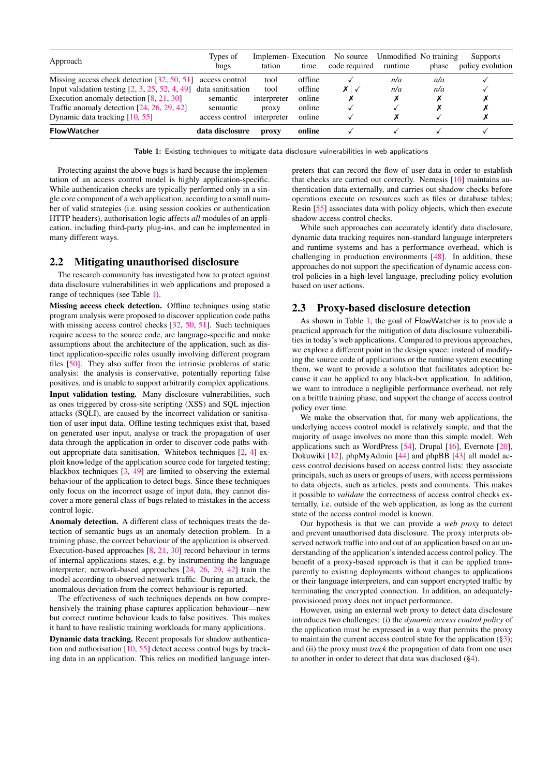<span id="page-2-2"></span>

| Approach                                                           | Types of<br>bugs | tation      | time    | Implemen- Execution No source Unmodified No training<br>code required | runtime | phase | Supports<br>policy evolution |
|--------------------------------------------------------------------|------------------|-------------|---------|-----------------------------------------------------------------------|---------|-------|------------------------------|
| Missing access check detection $[32, 50, 51]$ access control       |                  | tool        | offline |                                                                       | n/a     | n/a   |                              |
| Input validation testing $[2, 3, 25, 52, 4, 49]$ data sanitisation |                  | tool        | offline | $x \mid \sqrt$                                                        | n/a     | n/a   |                              |
| Execution anomaly detection $[8, 21, 30]$                          | semantic         | interpreter | online  |                                                                       |         |       |                              |
| Traffic anomaly detection $[24, 26, 29, 42]$                       | semantic         | proxy       | online  |                                                                       |         |       |                              |
| Dynamic data tracking [10, 55]                                     | access control   | interpreter | online  |                                                                       |         |       |                              |
| <b>FlowWatcher</b>                                                 | data disclosure  | proxy       | online  |                                                                       |         |       |                              |

Table 1: Existing techniques to mitigate data disclosure vulnerabilities in web applications

Protecting against the above bugs is hard because the implementation of an access control model is highly application-specific. While authentication checks are typically performed only in a single core component of a web application, according to a small number of valid strategies (i.e. using session cookies or authentication HTTP headers), authorisation logic affects *all* modules of an application, including third-party plug-ins, and can be implemented in many different ways.

#### <span id="page-2-0"></span>2.2 Mitigating unauthorised disclosure

The research community has investigated how to protect against data disclosure vulnerabilities in web applications and proposed a range of techniques (see Table [1\)](#page-2-2).

Missing access check detection. Offline techniques using static program analysis were proposed to discover application code paths with missing access control checks [\[32,](#page-12-10) [50,](#page-12-6) [51\]](#page-12-11). Such techniques require access to the source code, are language-specific and make assumptions about the architecture of the application, such as distinct application-specific roles usually involving different program files [\[50\]](#page-12-6). They also suffer from the intrinsic problems of static analysis: the analysis is conservative, potentially reporting false positives, and is unable to support arbitrarily complex applications.

Input validation testing. Many disclosure vulnerabilities, such as ones triggered by cross-site scripting (XSS) and SQL injection attacks (SQLI), are caused by the incorrect validation or sanitisation of user input data. Offline testing techniques exist that, based on generated user input, analyse or track the propagation of user data through the application in order to discover code paths without appropriate data sanitisation. Whitebox techniques [\[2,](#page-11-7) [4\]](#page-11-9) exploit knowledge of the application source code for targeted testing; blackbox techniques  $\left[3, 49\right]$  $\left[3, 49\right]$  $\left[3, 49\right]$  are limited to observing the external behaviour of the application to detect bugs. Since these techniques only focus on the incorrect usage of input data, they cannot discover a more general class of bugs related to mistakes in the access control logic.

Anomaly detection. A different class of techniques treats the detection of semantic bugs as an anomaly detection problem. In a training phase, the correct behaviour of the application is observed. Execution-based approaches [\[8,](#page-11-10) [21,](#page-11-11) [30\]](#page-12-14) record behaviour in terms of internal applications states, e.g. by instrumenting the language interpreter; network-based approaches [\[24,](#page-11-12) [26,](#page-11-3) [29,](#page-12-15) [42\]](#page-12-16) train the model according to observed network traffic. During an attack, the anomalous deviation from the correct behaviour is reported.

The effectiveness of such techniques depends on how comprehensively the training phase captures application behaviour—new but correct runtime behaviour leads to false positives. This makes it hard to have realistic training workloads for many applications.

Dynamic data tracking. Recent proposals for shadow authentication and authorisation [\[10,](#page-11-13) [55\]](#page-12-17) detect access control bugs by tracking data in an application. This relies on modified language inter-

preters that can record the flow of user data in order to establish that checks are carried out correctly. Nemesis [\[10\]](#page-11-13) maintains authentication data externally, and carries out shadow checks before operations execute on resources such as files or database tables; Resin [\[55\]](#page-12-17) associates data with policy objects, which then execute shadow access control checks.

While such approaches can accurately identify data disclosure, dynamic data tracking requires non-standard language interpreters and runtime systems and has a performance overhead, which is challenging in production environments [\[48\]](#page-12-18). In addition, these approaches do not support the specification of dynamic access control policies in a high-level language, precluding policy evolution based on user actions.

#### <span id="page-2-1"></span>2.3 Proxy-based disclosure detection

As shown in Table [1,](#page-2-2) the goal of FlowWatcher is to provide a practical approach for the mitigation of data disclosure vulnerabilities in today's web applications. Compared to previous approaches, we explore a different point in the design space: instead of modifying the source code of applications or the runtime system executing them, we want to provide a solution that facilitates adoption because it can be applied to any black-box application. In addition, we want to introduce a negligible performance overhead, not rely on a brittle training phase, and support the change of access control policy over time.

We make the observation that, for many web applications, the underlying access control model is relatively simple, and that the majority of usage involves no more than this simple model. Web applications such as WordPress [\[54\]](#page-12-7), Drupal [\[16\]](#page-11-1), Evernote [\[20\]](#page-11-14), Dokuwiki [\[12\]](#page-11-4), phpMyAdmin [\[44\]](#page-12-19) and phpBB [\[43\]](#page-12-9) all model access control decisions based on access control lists: they associate principals, such as users or groups of users, with access permissions to data objects, such as articles, posts and comments. This makes it possible to *validate* the correctness of access control checks externally, i.e. outside of the web application, as long as the current state of the access control model is known.

Our hypothesis is that we can provide a *web proxy* to detect and prevent unauthorised data disclosure. The proxy interprets observed network traffic into and out of an application based on an understanding of the application's intended access control policy. The benefit of a proxy-based approach is that it can be applied transparently to existing deployments without changes to applications or their language interpreters, and can support encrypted traffic by terminating the encrypted connection. In addition, an adequatelyprovisioned proxy does not impact performance.

However, using an external web proxy to detect data disclosure introduces two challenges: (i) the *dynamic access control policy* of the application must be expressed in a way that permits the proxy to maintain the current access control state for the application ([§3\)](#page-3-0); and (ii) the proxy must *track* the propagation of data from one user to another in order to detect that data was disclosed ([§4\)](#page-5-0).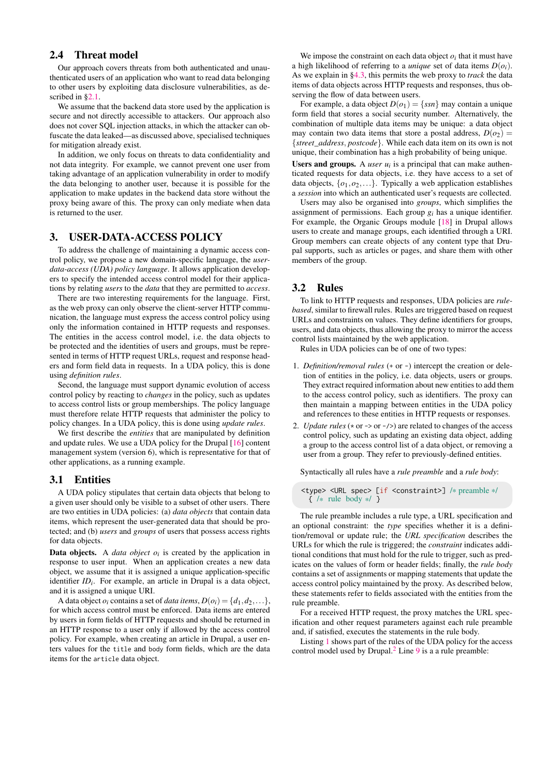# 2.4 Threat model

Our approach covers threats from both authenticated and unauthenticated users of an application who want to read data belonging to other users by exploiting data disclosure vulnerabilities, as described in [§2.1.](#page-1-1)

We assume that the backend data store used by the application is secure and not directly accessible to attackers. Our approach also does not cover SQL injection attacks, in which the attacker can obfuscate the data leaked—as discussed above, specialised techniques for mitigation already exist.

In addition, we only focus on threats to data confidentiality and not data integrity. For example, we cannot prevent one user from taking advantage of an application vulnerability in order to modify the data belonging to another user, because it is possible for the application to make updates in the backend data store without the proxy being aware of this. The proxy can only mediate when data is returned to the user.

# <span id="page-3-0"></span>3. USER-DATA-ACCESS POLICY

To address the challenge of maintaining a dynamic access control policy, we propose a new domain-specific language, the *userdata-access (UDA) policy language*. It allows application developers to specify the intended access control model for their applications by relating *users* to the *data* that they are permitted to *access*.

There are two interesting requirements for the language. First, as the web proxy can only observe the client-server HTTP communication, the language must express the access control policy using only the information contained in HTTP requests and responses. The entities in the access control model, i.e. the data objects to be protected and the identities of users and groups, must be represented in terms of HTTP request URLs, request and response headers and form field data in requests. In a UDA policy, this is done using *definition rules*.

Second, the language must support dynamic evolution of access control policy by reacting to *changes* in the policy, such as updates to access control lists or group memberships. The policy language must therefore relate HTTP requests that administer the policy to policy changes. In a UDA policy, this is done using *update rules*.

We first describe the *entities* that are manipulated by definition and update rules. We use a UDA policy for the Drupal [\[16\]](#page-11-1) content management system (version 6), which is representative for that of other applications, as a running example.

#### 3.1 Entities

A UDA policy stipulates that certain data objects that belong to a given user should only be visible to a subset of other users. There are two entities in UDA policies: (a) *data objects* that contain data items, which represent the user-generated data that should be protected; and (b) *users* and *groups* of users that possess access rights for data objects.

**Data objects.** A *data object*  $o_i$  is created by the application in response to user input. When an application creates a new data object, we assume that it is assigned a unique application-specific identifier *IDi* . For example, an article in Drupal is a data object, and it is assigned a unique URI.

A data object  $o_i$  contains a set of *data items*,  $D(o_i) = \{d_1, d_2, \ldots\}$ , for which access control must be enforced. Data items are entered by users in form fields of HTTP requests and should be returned in an HTTP response to a user only if allowed by the access control policy. For example, when creating an article in Drupal, a user enters values for the title and body form fields, which are the data items for the article data object.

We impose the constraint on each data object  $o_i$  that it must have a high likelihood of referring to a *unique* set of data items  $D(o_i)$ . As we explain in [§4.3,](#page-7-0) this permits the web proxy to *track* the data items of data objects across HTTP requests and responses, thus observing the flow of data between users.

For example, a data object  $D(o_1) = \{ssn\}$  may contain a unique form field that stores a social security number. Alternatively, the combination of multiple data items may be unique: a data object may contain two data items that store a postal address,  $D(o_2)$  = {*street*\_*address*, *postcode*}. While each data item on its own is not unique, their combination has a high probability of being unique.

**Users and groups.** A *user*  $u_i$  is a principal that can make authenticated requests for data objects, i.e. they have access to a set of data objects,  $\{o_1, o_2, \ldots\}$ . Typically a web application establishes a *session* into which an authenticated user's requests are collected.

Users may also be organised into *groups*, which simplifies the assignment of permissions. Each group  $g_i$  has a unique identifier. For example, the Organic Groups module [\[18\]](#page-11-15) in Drupal allows users to create and manage groups, each identified through a URI. Group members can create objects of any content type that Drupal supports, such as articles or pages, and share them with other members of the group.

#### <span id="page-3-1"></span>3.2 Rules

To link to HTTP requests and responses, UDA policies are *rulebased*, similar to firewall rules. Rules are triggered based on request URLs and constraints on values. They define identifiers for groups, users, and data objects, thus allowing the proxy to mirror the access control lists maintained by the web application.

Rules in UDA policies can be of one of two types:

- 1. *Definition/removal rules* (+ or -) intercept the creation or deletion of entities in the policy, i.e. data objects, users or groups. They extract required information about new entities to add them to the access control policy, such as identifiers. The proxy can then maintain a mapping between entities in the UDA policy and references to these entities in HTTP requests or responses.
- 2. *Update rules* ( $*\$  or  $\rightarrow$  or  $-\/\$ ) are related to changes of the access control policy, such as updating an existing data object, adding a group to the access control list of a data object, or removing a user from a group. They refer to previously-defined entities.

Syntactically all rules have a *rule preamble* and a *rule body*:

<type> <URL spec> [if <constraint>] /\* preamble \*/  $\{$  /\* rule body \*/  $\}$ 

The rule preamble includes a rule type, a URL specification and an optional constraint: the *type* specifies whether it is a definition/removal or update rule; the *URL specification* describes the URLs for which the rule is triggered; the *constraint* indicates additional conditions that must hold for the rule to trigger, such as predicates on the values of form or header fields; finally, the *rule body* contains a set of assignments or mapping statements that update the access control policy maintained by the proxy. As described below, these statements refer to fields associated with the entities from the rule preamble.

For a received HTTP request, the proxy matches the URL specification and other request parameters against each rule preamble and, if satisfied, executes the statements in the rule body.

Listing [1](#page-4-0) shows part of the rules of the UDA policy for the access control model used by Drupal. $<sup>2</sup>$  $<sup>2</sup>$  $<sup>2</sup>$  Line [9](#page-4-2) is a a rule preamble:</sup>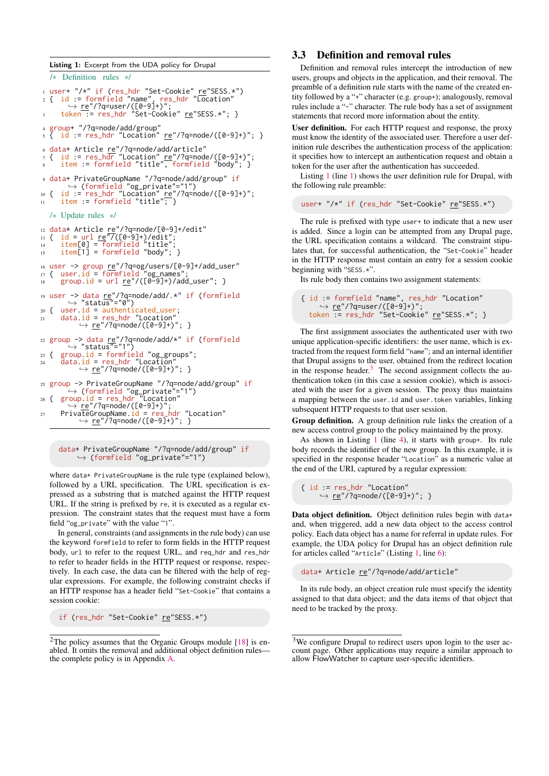<span id="page-4-7"></span><span id="page-4-6"></span><span id="page-4-5"></span><span id="page-4-3"></span><span id="page-4-2"></span><span id="page-4-0"></span>Listing 1: Excerpt from the UDA policy for Drupal /\* Definition rules \*/ 1 user+ "/\*" if (res\_hdr "Set-Cookie" <u>re</u>"SESS.\*") <sup>2</sup> { id := formfield "name", res\_hdr "Location" → <u>re</u>"/?q=user/([0-9]+)";<br>3 token := res\_hdr "Set-Cookie" <u>re</u>"SESS.\*"; } <sup>4</sup> group+ "/?q=node/add/group" <sup>5</sup> { id := res\_hdr "Location" re"/?q=node/([0-9]+)"; } 6 data+ Article <u>re</u>"/?q=node/add/article" 7 { id := res\_hdr "Location" <u>re</u>"/?q=node/([0-9]+)";  $_{\rm s}$  item := formfield "title"<del>, <code>formfield</code> "body"; }</del> <sup>9</sup> data+ PrivateGroupName "/?q=node/add/group" if  $\rightarrow$  (formfield "og\_private"="1")<br>
<sup>10</sup> { id := res\_hdr "Location" <u>re</u>"/?q=node/([0-9]+)";  $_{11}$  item := formfield "title"; } /\* Update rules \*/ 12 data\* Article re"/?q=node/[0-9]+/edit"  $_{13}$  { id = url <u>re</u>"/([0-9]+)/edit";  $_{14}$  item[0] = formfield "title";  $\frac{1}{15}$  item[1] = formfield "body"; ) 16 user -> group re"/?q=og/users/[0-9]+/add\_user" <sup>17</sup> { user.id = formfield "og\_names";  $_{18}$  group.id = url  $_{18}$   $_{18}$   $\sim$   $($   $[0-9]$  + $)$ /add\_user"; } 19 user -> data re"/?q=node/add/.\*" if (formfield  $\hookrightarrow$  "status"="0") <sup>20</sup> { user.id = authenticated\_user;  $_{21}$  data.id = res\_hdr "Location" → <u>re</u>"/?q=node/([0-9]+)"; } <sup>22</sup> group -> data re"/?q=node/add/\*" if (formfield  $\hookrightarrow$  "status"="1") <sup>23</sup> { group.id = formfield "og\_groups";  $_{24}$  data.id = res\_hdr "Location"  $\rightarrow$  re"/?q=node/([0-9]+)"; } <sup>25</sup> group -> PrivateGroupName "/?q=node/add/group" if  $\rightarrow$  (formfield "og\_private"="1")<br>26 { group.id = res\_hdr "Location" → <u>re</u>"/?q=node/([0-9]+)";  $27$  PrivateGroupName.id = res\_hdr "Location"  $\rightarrow$  re"/?q=node/([0-9]+)"; }

<span id="page-4-11"></span><span id="page-4-10"></span><span id="page-4-9"></span><span id="page-4-8"></span>data+ PrivateGroupName "/?q=node/add/group" if ,→ (formfield "og\_private"="1")

where data+ PrivateGroupName is the rule type (explained below), followed by a URL specification. The URL specification is expressed as a substring that is matched against the HTTP request URL. If the string is prefixed by re, it is executed as a regular expression. The constraint states that the request must have a form field "og\_private" with the value "1".

In general, constraints (and assignments in the rule body) can use the keyword formfield to refer to form fields in the HTTP request body, url to refer to the request URL, and req\_hdr and res\_hdr to refer to header fields in the HTTP request or response, respectively. In each case, the data can be filtered with the help of regular expressions. For example, the following constraint checks if an HTTP response has a header field "Set-Cookie" that contains a session cookie:

if (res\_hdr "Set-Cookie" re"SESS.\*")

# 3.3 Definition and removal rules

Definition and removal rules intercept the introduction of new users, groups and objects in the application, and their removal. The preamble of a definition rule starts with the name of the created entity followed by a "+" character (e.g. group+); analogously, removal rules include a "-" character. The rule body has a set of assignment statements that record more information about the entity.

User definition. For each HTTP request and response, the proxy must know the identity of the associated user. Therefore a user definition rule describes the authentication process of the application: it specifies how to intercept an authentication request and obtain a token for the user after the authentication has succeeded.

Listing [1](#page-4-0) (line [1\)](#page-4-3) shows the user definition rule for Drupal, with the following rule preamble:

```
user+ "/*" if (res_hdr "Set-Cookie" re"SESS.*")
```
The rule is prefixed with type user+ to indicate that a new user is added. Since a login can be attempted from any Drupal page, the URL specification contains a wildcard. The constraint stipulates that, for successful authentication, the "Set-Cookie" header in the HTTP response must contain an entry for a session cookie beginning with "SESS.\*".

Its rule body then contains two assignment statements:

```
{ id := formfield "name", res_hdr "Location"
     \leftrightarrow <u>re</u>"/?q=user/([0-9]+)";
  token := res\_hdr "Set-Cookie" re"SESS.*"; }
```
The first assignment associates the authenticated user with two unique application-specific identifiers: the user name, which is extracted from the request form field "name"; and an internal identifier that Drupal assigns to the user, obtained from the redirect location in the response header. $3$  The second assignment collects the authentication token (in this case a session cookie), which is associated with the user for a given session. The proxy thus maintains a mapping between the user.id and user.token variables, linking subsequent HTTP requests to that user session.

Group definition. A group definition rule links the creation of a new access control group to the policy maintained by the proxy.

As shown in Listing [1](#page-4-0) (line [4\)](#page-4-5), it starts with group+. Its rule body records the identifier of the new group. In this example, it is specified in the response header "Location" as a numeric value at the end of the URI, captured by a regular expression:

{ id := res\_hdr "Location"  $\leftrightarrow$  <u>re</u>"/?q=node/([0-9]+)"; }

Data object definition. Object definition rules begin with data+ and, when triggered, add a new data object to the access control policy. Each data object has a name for referral in update rules. For example, the UDA policy for Drupal has an object definition rule for articles called "Article" (Listing [1,](#page-4-0) line [6\)](#page-4-6):

data+ Article re"/?q=node/add/article"

In its rule body, an object creation rule must specify the identity assigned to that data object; and the data items of that object that need to be tracked by the proxy.

<span id="page-4-1"></span><sup>&</sup>lt;sup>2</sup>The policy assumes that the Organic Groups module  $[18]$  is enabled. It omits the removal and additional object definition rules the complete policy is in Appendix [A.](#page-12-20)

<span id="page-4-4"></span><sup>&</sup>lt;sup>3</sup>We configure Drupal to redirect users upon login to the user account page. Other applications may require a similar approach to allow FlowWatcher to capture user-specific identifiers.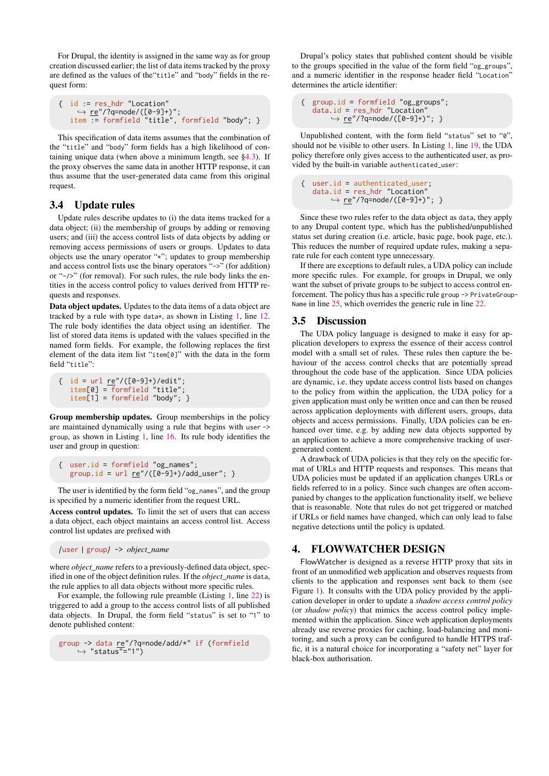For Drupal, the identity is assigned in the same way as for group creation discussed earlier; the list of data items tracked by the proxy are defined as the values of the"title" and "body" fields in the request form:

```
{ id := res_hdr "Location"
     \leftrightarrow <u>re</u>"/?q=node/([0-9]+)";
   item := formfield "title", formfield "body"; }
```
This specification of data items assumes that the combination of the "title" and "body" form fields has a high likelihood of containing unique data (when above a minimum length, see [§4.3\)](#page-7-0). If the proxy observes the same data in another HTTP response, it can thus assume that the user-generated data came from this original request.

# 3.4 Update rules

Update rules describe updates to (i) the data items tracked for a data object; (ii) the membership of groups by adding or removing users; and (iii) the access control lists of data objects by adding or removing access permissions of users or groups. Updates to data objects use the unary operator "\*"; updates to group membership and access control lists use the binary operators "->" (for addition) or "-/>" (for removal). For such rules, the rule body links the entities in the access control policy to values derived from HTTP requests and responses.

Data object updates. Updates to the data items of a data object are tracked by a rule with type data\*, as shown in Listing [1,](#page-4-0) line [12.](#page-4-7) The rule body identifies the data object using an identifier. The list of stored data items is updated with the values specified in the named form fields. For example, the following replaces the first element of the data item list "item[0]" with the data in the form field "title":

```
{ id = url re''/([0-9]+)/edit'';
  item[0] = formfield "title";
  item[1] = formfield "body";
```
Group membership updates. Group memberships in the policy are maintained dynamically using a rule that begins with user -> group, as shown in Listing [1,](#page-4-0) line [16.](#page-4-8) Its rule body identifies the user and group in question:

```
{ user.id = formfield "og_names";
  group.id = url re"/([0-9]+)/add_user"; }
```
The user is identified by the form field "og\_names", and the group is specified by a numeric identifier from the request URL.

Access control updates. To limit the set of users that can access a data object, each object maintains an access control list. Access control list updates are prefixed with

```
{user | group} -> object_name
```
where *object* name refers to a previously-defined data object, specified in one of the object definition rules. If the *object\_name* is data, the rule applies to all data objects without more specific rules.

For example, the following rule preamble (Listing [1,](#page-4-0) line [22\)](#page-4-9) is triggered to add a group to the access control lists of all published data objects. In Drupal, the form field "status" is set to "1" to denote published content:

```
group -> data re"/?q=node/add/*" if (formfield
     \leftrightarrow "status"="1")
```
Drupal's policy states that published content should be visible to the groups specified in the value of the form field "og\_groups", and a numeric identifier in the response header field "Location" determines the article identifier:

```
{ group.id = formfield "og_groups";
data.id = res_hdr "Location"
      \leftrightarrow re"/?q=node/([0-9]+)"; }
```
Unpublished content, with the form field "status" set to "0", should not be visible to other users. In Listing [1,](#page-4-0) line [19,](#page-4-10) the UDA policy therefore only gives access to the authenticated user, as provided by the built-in variable authenticated\_user:

{ user.id = authenticated\_user;  $data.id = res_hdr$  "Location"  $\leftrightarrow$  re"/?q=node/([0-9]+)"; }

Since these two rules refer to the data object as data, they apply to any Drupal content type, which has the published/unpublished status set during creation (i.e. article, basic page, book page, etc.). This reduces the number of required update rules, making a separate rule for each content type unnecessary.

If there are exceptions to default rules, a UDA policy can include more specific rules. For example, for groups in Drupal, we only want the subset of private groups to be subject to access control enforcement. The policy thus has a specific rule group -> PrivateGroup-Name in line [25,](#page-4-11) which overrides the generic rule in line [22.](#page-4-9)

# 3.5 Discussion

The UDA policy language is designed to make it easy for application developers to express the essence of their access control model with a small set of rules. These rules then capture the behaviour of the access control checks that are potentially spread throughout the code base of the application. Since UDA policies are dynamic, i.e. they update access control lists based on changes to the policy from within the application, the UDA policy for a given application must only be written once and can then be reused across application deployments with different users, groups, data objects and access permissions. Finally, UDA policies can be enhanced over time, e.g. by adding new data objects supported by an application to achieve a more comprehensive tracking of usergenerated content.

A drawback of UDA policies is that they rely on the specific format of URLs and HTTP requests and responses. This means that UDA policies must be updated if an application changes URLs or fields referred to in a policy. Since such changes are often accompanied by changes to the application functionality itself, we believe that is reasonable. Note that rules do not get triggered or matched if URLs or field names have changed, which can only lead to false negative detections until the policy is updated.

# <span id="page-5-0"></span>4. FLOWWATCHER DESIGN

FlowWatcher is designed as a reverse HTTP proxy that sits in front of an unmodified web application and observes requests from clients to the application and responses sent back to them (see Figure [1\)](#page-6-0). It consults with the UDA policy provided by the application developer in order to update a *shadow access control policy* (or *shadow policy*) that mimics the access control policy implemented within the application. Since web application deployments already use reverse proxies for caching, load-balancing and monitoring, and such a proxy can be configured to handle HTTPS traffic, it is a natural choice for incorporating a "safety net" layer for black-box authorisation.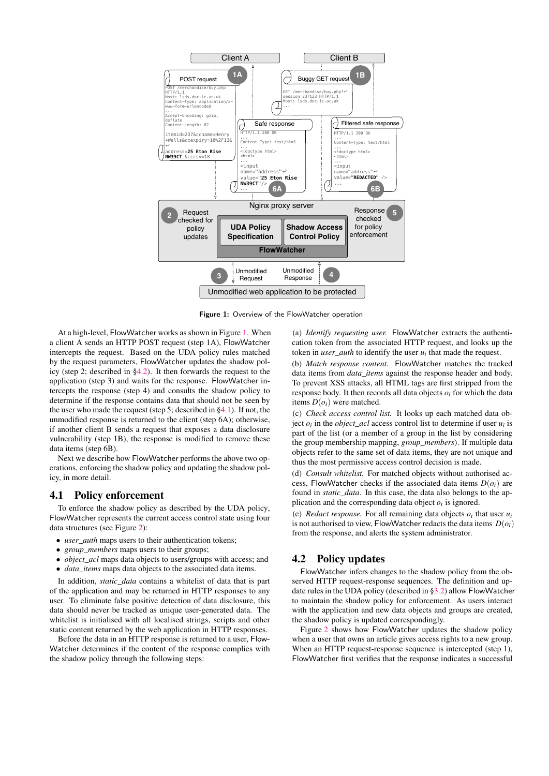<span id="page-6-0"></span>

Figure 1: Overview of the FlowWatcher operation

At a high-level, FlowWatcher works as shown in Figure [1.](#page-6-0) When a client A sends an HTTP POST request (step 1A), FlowWatcher intercepts the request. Based on the UDA policy rules matched by the request parameters, FlowWatcher updates the shadow policy (step 2; described in [§4.2\)](#page-6-1). It then forwards the request to the application (step 3) and waits for the response. FlowWatcher intercepts the response (step 4) and consults the shadow policy to determine if the response contains data that should not be seen by the user who made the request (step 5; described in [§4.1\)](#page-6-2). If not, the unmodified response is returned to the client (step 6A); otherwise, if another client B sends a request that exposes a data disclosure vulnerability (step 1B), the response is modified to remove these data items (step 6B).

Next we describe how FlowWatcher performs the above two operations, enforcing the shadow policy and updating the shadow policy, in more detail.

### <span id="page-6-2"></span>4.1 Policy enforcement

To enforce the shadow policy as described by the UDA policy, FlowWatcher represents the current access control state using four data structures (see Figure [2\)](#page-7-1):

- *user\_auth* maps users to their authentication tokens;
- *group\_members* maps users to their groups;
- *object\_acl* maps data objects to users/groups with access; and
- *data\_items* maps data objects to the associated data items.

In addition, *static\_data* contains a whitelist of data that is part of the application and may be returned in HTTP responses to any user. To eliminate false positive detection of data disclosure, this data should never be tracked as unique user-generated data. The whitelist is initialised with all localised strings, scripts and other static content returned by the web application in HTTP responses.

Before the data in an HTTP response is returned to a user, Flow-Watcher determines if the content of the response complies with the shadow policy through the following steps:

(a) *Identify requesting user.* FlowWatcher extracts the authentication token from the associated HTTP request, and looks up the token in *user\_auth* to identify the user  $u_i$  that made the request.

(b) *Match response content.* FlowWatcher matches the tracked data items from *data\_items* against the response header and body. To prevent XSS attacks, all HTML tags are first stripped from the response body. It then records all data objects  $o_i$  for which the data items  $D(o_i)$  were matched.

(c) *Check access control list.* It looks up each matched data object  $o_i$  in the *object\_acl* access control list to determine if user  $u_i$  is part of the list (or a member of a group in the list by considering the group membership mapping, *group\_members*). If multiple data objects refer to the same set of data items, they are not unique and thus the most permissive access control decision is made.

(d) *Consult whitelist.* For matched objects without authorised access, FlowWatcher checks if the associated data items  $D(o_i)$  are found in *static\_data*. In this case, the data also belongs to the application and the corresponding data object  $o_i$  is ignored.

(e) *Redact response*. For all remaining data objects  $o_i$  that user  $u_i$ is not authorised to view, FlowWatcher redacts the data items  $D(o_i)$ from the response, and alerts the system administrator.

## <span id="page-6-1"></span>4.2 Policy updates

FlowWatcher infers changes to the shadow policy from the observed HTTP request-response sequences. The definition and update rules in the UDA policy (described in [§3.2\)](#page-3-1) allow FlowWatcher to maintain the shadow policy for enforcement. As users interact with the application and new data objects and groups are created, the shadow policy is updated correspondingly.

Figure [2](#page-7-1) shows how FlowWatcher updates the shadow policy when a user that owns an article gives access rights to a new group. When an HTTP request-response sequence is intercepted (step 1), FlowWatcher first verifies that the response indicates a successful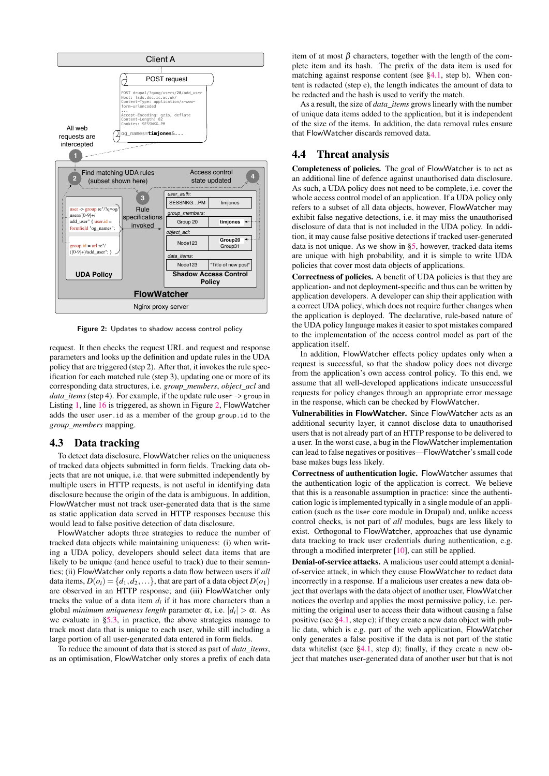<span id="page-7-1"></span>

Figure 2: Updates to shadow access control policy

request. It then checks the request URL and request and response parameters and looks up the definition and update rules in the UDA policy that are triggered (step 2). After that, it invokes the rule specification for each matched rule (step 3), updating one or more of its corresponding data structures, i.e. *group\_members*, *object\_acl* and *data\_items* (step 4). For example, if the update rule user -> group in Listing [1,](#page-4-0) line [16](#page-4-8) is triggered, as shown in Figure [2,](#page-7-1) FlowWatcher adds the user user.id as a member of the group group.id to the *group\_members* mapping.

#### <span id="page-7-0"></span>4.3 Data tracking

To detect data disclosure, FlowWatcher relies on the uniqueness of tracked data objects submitted in form fields. Tracking data objects that are not unique, i.e. that were submitted independently by multiple users in HTTP requests, is not useful in identifying data disclosure because the origin of the data is ambiguous. In addition, FlowWatcher must not track user-generated data that is the same as static application data served in HTTP responses because this would lead to false positive detection of data disclosure.

FlowWatcher adopts three strategies to reduce the number of tracked data objects while maintaining uniqueness: (i) when writing a UDA policy, developers should select data items that are likely to be unique (and hence useful to track) due to their semantics; (ii) FlowWatcher only reports a data flow between users if *all* data items,  $D(o_i) = \{d_1, d_2, ...\}$ , that are part of a data object  $D(o_1)$ are observed in an HTTP response; and (iii) FlowWatcher only tracks the value of a data item  $d_i$  if it has more characters than a global *minimum uniqueness length* parameter  $\alpha$ , i.e.  $|d_i| > \alpha$ . As we evaluate in [§5.3,](#page-9-0) in practice, the above strategies manage to track most data that is unique to each user, while still including a large portion of all user-generated data entered in form fields.

To reduce the amount of data that is stored as part of *data\_items*, as an optimisation, FlowWatcher only stores a prefix of each data item of at most  $β$  characters, together with the length of the complete item and its hash. The prefix of the data item is used for matching against response content (see [§4.1,](#page-6-2) step b). When content is redacted (step e), the length indicates the amount of data to be redacted and the hash is used to verify the match.

As a result, the size of *data\_items* grows linearly with the number of unique data items added to the application, but it is independent of the size of the items. In addition, the data removal rules ensure that FlowWatcher discards removed data.

#### 4.4 Threat analysis

Completeness of policies. The goal of FlowWatcher is to act as an additional line of defence against unauthorised data disclosure. As such, a UDA policy does not need to be complete, i.e. cover the whole access control model of an application. If a UDA policy only refers to a subset of all data objects, however, FlowWatcher may exhibit false negative detections, i.e. it may miss the unauthorised disclosure of data that is not included in the UDA policy. In addition, it may cause false positive detections if tracked user-generated data is not unique. As we show in [§5,](#page-8-0) however, tracked data items are unique with high probability, and it is simple to write UDA policies that cover most data objects of applications.

Correctness of policies. A benefit of UDA policies is that they are application- and not deployment-specific and thus can be written by application developers. A developer can ship their application with a correct UDA policy, which does not require further changes when the application is deployed. The declarative, rule-based nature of the UDA policy language makes it easier to spot mistakes compared to the implementation of the access control model as part of the application itself.

In addition, FlowWatcher effects policy updates only when a request is successful, so that the shadow policy does not diverge from the application's own access control policy. To this end, we assume that all well-developed applications indicate unsuccessful requests for policy changes through an appropriate error message in the response, which can be checked by FlowWatcher.

Vulnerabilities in FlowWatcher. Since FlowWatcher acts as an additional security layer, it cannot disclose data to unauthorised users that is not already part of an HTTP response to be delivered to a user. In the worst case, a bug in the FlowWatcher implementation can lead to false negatives or positives—FlowWatcher's small code base makes bugs less likely.

Correctness of authentication logic. FlowWatcher assumes that the authentication logic of the application is correct. We believe that this is a reasonable assumption in practice: since the authentication logic is implemented typically in a single module of an application (such as the User core module in Drupal) and, unlike access control checks, is not part of *all* modules, bugs are less likely to exist. Orthogonal to FlowWatcher, approaches that use dynamic data tracking to track user credentials during authentication, e.g. through a modified interpreter [\[10\]](#page-11-13), can still be applied.

Denial-of-service attacks. A malicious user could attempt a denialof-service attack, in which they cause FlowWatcher to redact data incorrectly in a response. If a malicious user creates a new data object that overlaps with the data object of another user, FlowWatcher notices the overlap and applies the most permissive policy, i.e. permitting the original user to access their data without causing a false positive (see [§4.1,](#page-6-2) step c); if they create a new data object with public data, which is e.g. part of the web application, FlowWatcher only generates a false positive if the data is not part of the static data whitelist (see [§4.1,](#page-6-2) step d); finally, if they create a new object that matches user-generated data of another user but that is not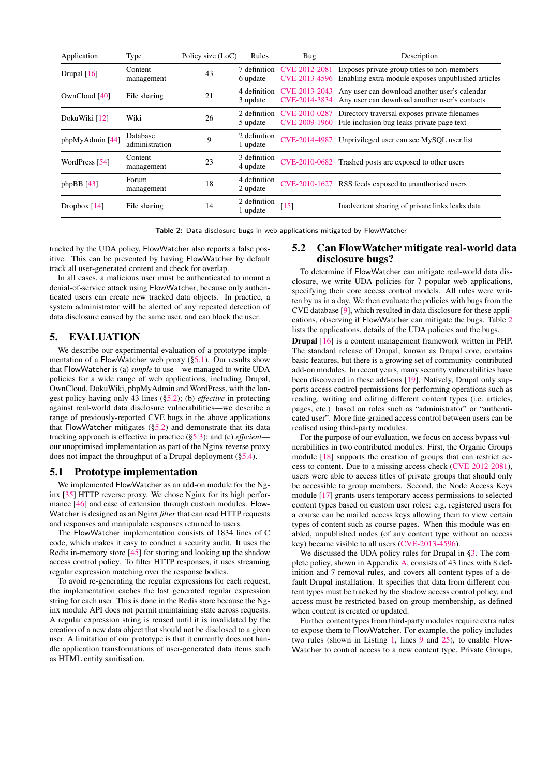<span id="page-8-3"></span>

| Application     | Type                       | Policy size (LoC) | Rules                    | Bug                            | Description                                                                                       |
|-----------------|----------------------------|-------------------|--------------------------|--------------------------------|---------------------------------------------------------------------------------------------------|
| Drupal $[16]$   | Content<br>management      | 43                | 7 definition<br>6 update | CVE-2012-2081<br>CVE-2013-4596 | Exposes private group titles to non-members<br>Enabling extra module exposes unpublished articles |
| OwnCloud $[40]$ | File sharing               | 21                | 4 definition<br>3 update | CVE-2013-2043<br>CVE-2014-3834 | Any user can download another user's calendar<br>Any user can download another user's contacts    |
| DokuWiki [12]   | Wiki                       | 26                | 2 definition<br>5 update | CVE-2010-0287<br>CVE-2009-1960 | Directory traversal exposes private filenames<br>File inclusion bug leaks private page text       |
| phpMyAdmin [44] | Database<br>administration | 9                 | 2 definition<br>1 update | CVE-2014-4987                  | Unprivileged user can see MySQL user list                                                         |
| WordPress [54]  | Content<br>management      | 23                | 3 definition<br>4 update | CVE-2010-0682                  | Trashed posts are exposed to other users                                                          |
| phpBB $[43]$    | Forum<br>management        | 18                | 4 definition<br>2 update | CVE-2010-1627                  | RSS feeds exposed to unauthorised users                                                           |
| Dropbox $[14]$  | File sharing               | 14                | 2 definition<br>1 update | $\lceil 15 \rceil$             | Inadvertent sharing of private links leaks data                                                   |

Table 2: Data disclosure bugs in web applications mitigated by FlowWatcher

tracked by the UDA policy, FlowWatcher also reports a false positive. This can be prevented by having FlowWatcher by default track all user-generated content and check for overlap.

In all cases, a malicious user must be authenticated to mount a denial-of-service attack using FlowWatcher, because only authenticated users can create new tracked data objects. In practice, a system administrator will be alerted of any repeated detection of data disclosure caused by the same user, and can block the user.

# <span id="page-8-0"></span>5. EVALUATION

We describe our experimental evaluation of a prototype implementation of a FlowWatcher web proxy ([§5.1\)](#page-8-1). Our results show that FlowWatcher is (a) *simple* to use—we managed to write UDA policies for a wide range of web applications, including Drupal, OwnCloud, DokuWiki, phpMyAdmin and WordPress, with the longest policy having only 43 lines ([§5.2\)](#page-8-2); (b) *effective* in protecting against real-world data disclosure vulnerabilities—we describe a range of previously-reported CVE bugs in the above applications that FlowWatcher mitigates  $(85.2)$  and demonstrate that its data tracking approach is effective in practice ([§5.3\)](#page-9-0); and (c) *efficient* our unoptimised implementation as part of the Nginx reverse proxy does not impact the throughput of a Drupal deployment ([§5.4\)](#page-10-1).

#### <span id="page-8-1"></span>5.1 Prototype implementation

We implemented FlowWatcher as an add-on module for the Nginx [\[35\]](#page-12-8) HTTP reverse proxy. We chose Nginx for its high perfor-mance [\[46\]](#page-12-22) and ease of extension through custom modules. Flow-Watcher is designed as an Nginx *filter* that can read HTTP requests and responses and manipulate responses returned to users.

The FlowWatcher implementation consists of 1834 lines of C code, which makes it easy to conduct a security audit. It uses the Redis in-memory store [\[45\]](#page-12-23) for storing and looking up the shadow access control policy. To filter HTTP responses, it uses streaming regular expression matching over the response bodies.

To avoid re-generating the regular expressions for each request, the implementation caches the last generated regular expression string for each user. This is done in the Redis store because the Nginx module API does not permit maintaining state across requests. A regular expression string is reused until it is invalidated by the creation of a new data object that should not be disclosed to a given user. A limitation of our prototype is that it currently does not handle application transformations of user-generated data items such as HTML entity sanitisation.

# <span id="page-8-2"></span>5.2 Can FlowWatcher mitigate real-world data disclosure bugs?

To determine if FlowWatcher can mitigate real-world data disclosure, we write UDA policies for 7 popular web applications, specifying their core access control models. All rules were written by us in a day. We then evaluate the policies with bugs from the CVE database [\[9\]](#page-11-0), which resulted in data disclosure for these applications, observing if FlowWatcher can mitigate the bugs. Table [2](#page-8-3) lists the applications, details of the UDA policies and the bugs.

Drupal [\[16\]](#page-11-1) is a content management framework written in PHP. The standard release of Drupal, known as Drupal core, contains basic features, but there is a growing set of community-contributed add-on modules. In recent years, many security vulnerabilities have been discovered in these add-ons [\[19\]](#page-11-18). Natively, Drupal only supports access control permissions for performing operations such as reading, writing and editing different content types (i.e. articles, pages, etc.) based on roles such as "administrator" or "authenticated user". More fine-grained access control between users can be realised using third-party modules.

For the purpose of our evaluation, we focus on access bypass vulnerabilities in two contributed modules. First, the Organic Groups module [\[18\]](#page-11-15) supports the creation of groups that can restrict access to content. Due to a missing access check [\(CVE-2012-2081\)](http://cve.mitre.org/cgi-bin/cvename.cgi?name=CVE-2012-2081), users were able to access titles of private groups that should only be accessible to group members. Second, the Node Access Keys module [\[17\]](#page-11-19) grants users temporary access permissions to selected content types based on custom user roles: e.g. registered users for a course can be mailed access keys allowing them to view certain types of content such as course pages. When this module was enabled, unpublished nodes (of any content type without an access key) became visible to all users [\(CVE-2013-4596\)](http://cve.mitre.org/cgi-bin/cvename.cgi?name=CVE-2013-4596).

We discussed the UDA policy rules for Drupal in [§3.](#page-3-0) The complete policy, shown in Appendix [A,](#page-12-20) consists of 43 lines with 8 definition and 7 removal rules, and covers all content types of a default Drupal installation. It specifies that data from different content types must be tracked by the shadow access control policy, and access must be restricted based on group membership, as defined when content is created or updated.

Further content types from third-party modules require extra rules to expose them to FlowWatcher. For example, the policy includes two rules (shown in Listing [1,](#page-4-0) lines [9](#page-4-2) and [25\)](#page-4-11), to enable Flow-Watcher to control access to a new content type, Private Groups,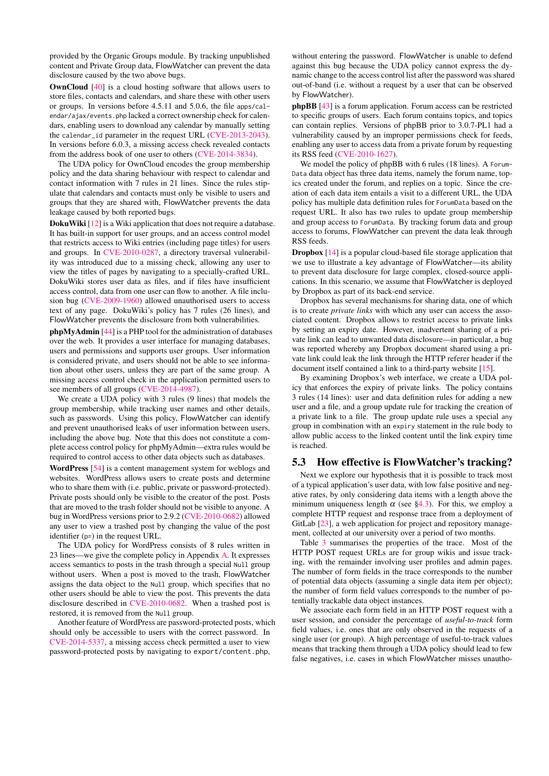provided by the Organic Groups module. By tracking unpublished content and Private Group data, FlowWatcher can prevent the data disclosure caused by the two above bugs.

OwnCloud [\[40\]](#page-12-21) is a cloud hosting software that allows users to store files, contacts and calendars, and share these with other users or groups. In versions before 4.5.11 and 5.0.6, the file apps/calendar/ajax/events.php lacked a correct ownership check for calendars, enabling users to download any calendar by manually setting the calendar\_id parameter in the request URL [\(CVE-2013-2043\)](http://cve.mitre.org/cgi-bin/cvename.cgi?name=CVE-2013-2043). In versions before 6.0.3, a missing access check revealed contacts from the address book of one user to others [\(CVE-2014-3834\)](http://cve.mitre.org/cgi-bin/cvename.cgi?name=CVE-2014-3834).

The UDA policy for OwnCloud encodes the group membership policy and the data sharing behaviour with respect to calendar and contact information with 7 rules in 21 lines. Since the rules stipulate that calendars and contacts must only be visible to users and groups that they are shared with, FlowWatcher prevents the data leakage caused by both reported bugs.

DokuWiki [\[12\]](#page-11-4) is a Wiki application that does not require a database. It has built-in support for user groups, and an access control model that restricts access to Wiki entries (including page titles) for users and groups. In [CVE-2010-0287,](http://cve.mitre.org/cgi-bin/cvename.cgi?name=CVE-2010-0287) a directory traversal vulnerability was introduced due to a missing check, allowing any user to view the titles of pages by navigating to a specially-crafted URL. DokuWiki stores user data as files, and if files have insufficient access control, data from one user can flow to another. A file inclusion bug [\(CVE-2009-1960\)](http://cve.mitre.org/cgi-bin/cvename.cgi?name=CVE-2009-1960) allowed unauthorised users to access text of any page. DokuWiki's policy has 7 rules (26 lines), and FlowWatcher prevents the disclosure from both vulnerabilities.

phpMyAdmin [\[44\]](#page-12-19) is a PHP tool for the administration of databases over the web. It provides a user interface for managing databases, users and permissions and supports user groups. User information is considered private, and users should not be able to see information about other users, unless they are part of the same group. A missing access control check in the application permitted users to see members of all groups [\(CVE-2014-4987\)](http://cve.mitre.org/cgi-bin/cvename.cgi?name=CVE-2014-4987).

We create a UDA policy with 3 rules (9 lines) that models the group membership, while tracking user names and other details, such as passwords. Using this policy, FlowWatcher can identify and prevent unauthorised leaks of user information between users, including the above bug. Note that this does not constitute a complete access control policy for phpMyAdmin—extra rules would be required to control access to other data objects such as databases.

WordPress [\[54\]](#page-12-7) is a content management system for weblogs and websites. WordPress allows users to create posts and determine who to share them with (i.e. public, private or password-protected). Private posts should only be visible to the creator of the post. Posts that are moved to the trash folder should not be visible to anyone. A bug in WordPress versions prior to 2.9.2 [\(CVE-2010-0682\)](http://cve.mitre.org/cgi-bin/cvename.cgi?name=CVE-2010-0682) allowed any user to view a trashed post by changing the value of the post identifier (p=) in the request URL.

The UDA policy for WordPress consists of 8 rules written in 23 lines—we give the complete policy in Appendix [A.](#page-12-20) It expresses access semantics to posts in the trash through a special Null group without users. When a post is moved to the trash, FlowWatcher assigns the data object to the Null group, which specifies that no other users should be able to view the post. This prevents the data disclosure described in [CVE-2010-0682.](http://cve.mitre.org/cgi-bin/cvename.cgi?name=CVE-2010-0682) When a trashed post is restored, it is removed from the Null group.

Another feature of WordPress are password-protected posts, which should only be accessible to users with the correct password. In [CVE-2014-5337,](http://cve.mitre.org/cgi-bin/cvename.cgi?name=CVE-2014-5337) a missing access check permitted a user to view password-protected posts by navigating to export/content.php,

without entering the password. FlowWatcher is unable to defend against this bug because the UDA policy cannot express the dynamic change to the access control list after the password was shared out-of-band (i.e. without a request by a user that can be observed by FlowWatcher).

phpBB [\[43\]](#page-12-9) is a forum application. Forum access can be restricted to specific groups of users. Each forum contains topics, and topics can contain replies. Versions of phpBB prior to 3.0.7-PL1 had a vulnerability caused by an improper permissions check for feeds, enabling any user to access data from a private forum by requesting its RSS feed [\(CVE-2010-1627\)](http://cve.mitre.org/cgi-bin/cvename.cgi?name=CVE-2010-1627).

We model the policy of phpBB with 6 rules (18 lines). A Forum-Data data object has three data items, namely the forum name, topics created under the forum, and replies on a topic. Since the creation of each data item entails a visit to a different URL, the UDA policy has multiple data definition rules for ForumData based on the request URL. It also has two rules to update group membership and group access to ForumData. By tracking forum data and group access to forums, FlowWatcher can prevent the data leak through RSS feeds.

**Dropbox** [\[14\]](#page-11-16) is a popular cloud-based file storage application that we use to illustrate a key advantage of FlowWatcher—its ability to prevent data disclosure for large complex, closed-source applications. In this scenario, we assume that FlowWatcher is deployed by Dropbox as part of its back-end service.

Dropbox has several mechanisms for sharing data, one of which is to create *private links* with which any user can access the associated content. Dropbox allows to restrict access to private links by setting an expiry date. However, inadvertent sharing of a private link can lead to unwanted data disclosure—in particular, a bug was reported whereby any Dropbox document shared using a private link could leak the link through the HTTP referer header if the document itself contained a link to a third-party website [\[15\]](#page-11-17).

By examining Dropbox's web interface, we create a UDA policy that enforces the expiry of private links. The policy contains 3 rules (14 lines): user and data definition rules for adding a new user and a file, and a group update rule for tracking the creation of a private link to a file. The group update rule uses a special any group in combination with an expiry statement in the rule body to allow public access to the linked content until the link expiry time is reached.

#### <span id="page-9-0"></span>5.3 How effective is FlowWatcher's tracking?

Next we explore our hypothesis that it is possible to track most of a typical application's user data, with low false positive and negative rates, by only considering data items with a length above the minimum uniqueness length  $\alpha$  (see [§4.3\)](#page-7-0). For this, we employ a complete HTTP request and response trace from a deployment of GitLab [\[23\]](#page-11-20), a web application for project and repository management, collected at our university over a period of two months.

Table [3](#page-10-2) summarises the properties of the trace. Most of the HTTP POST request URLs are for group wikis and issue tracking, with the remainder involving user profiles and admin pages. The number of form fields in the trace corresponds to the number of potential data objects (assuming a single data item per object); the number of form field values corresponds to the number of potentially trackable data object instances.

We associate each form field in an HTTP POST request with a user session, and consider the percentage of *useful-to-track* form field values, i.e. ones that are only observed in the requests of a single user (or group). A high percentage of useful-to-track values means that tracking them through a UDA policy should lead to few false negatives, i.e. cases in which FlowWatcher misses unautho-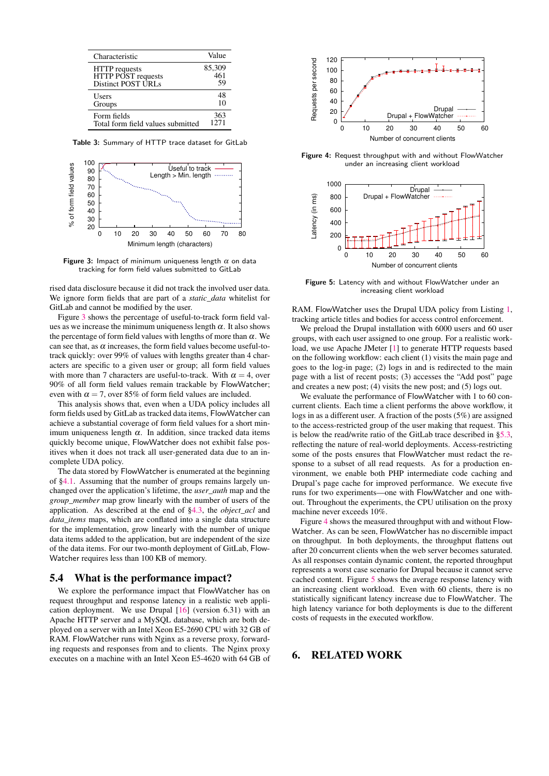<span id="page-10-2"></span>

| Characteristic                    | Value  |
|-----------------------------------|--------|
| <b>HTTP</b> requests              | 85,309 |
| HTTP POST requests                | 461    |
| Distinct POST URLs                | 59     |
| Users                             | 48     |
| Groups                            | 10     |
| Form fields                       | 363    |
| Total form field values submitted | 12.71  |

Table 3: Summary of HTTP trace dataset for GitLab

<span id="page-10-3"></span>

**Figure 3:** Impact of minimum uniqueness length  $\alpha$  on data tracking for form field values submitted to GitLab

rised data disclosure because it did not track the involved user data. We ignore form fields that are part of a *static\_data* whitelist for GitLab and cannot be modified by the user.

Figure [3](#page-10-3) shows the percentage of useful-to-track form field values as we increase the minimum uniqueness length  $\alpha$ . It also shows the percentage of form field values with lengths of more than  $\alpha$ . We can see that, as  $\alpha$  increases, the form field values become useful-totrack quickly: over 99% of values with lengths greater than 4 characters are specific to a given user or group; all form field values with more than 7 characters are useful-to-track. With  $\alpha = 4$ , over 90% of all form field values remain trackable by FlowWatcher; even with  $\alpha = 7$ , over 85% of form field values are included.

This analysis shows that, even when a UDA policy includes all form fields used by GitLab as tracked data items, FlowWatcher can achieve a substantial coverage of form field values for a short minimum uniqueness length  $\alpha$ . In addition, since tracked data items quickly become unique, FlowWatcher does not exhibit false positives when it does not track all user-generated data due to an incomplete UDA policy.

The data stored by FlowWatcher is enumerated at the beginning of [§4.1.](#page-6-2) Assuming that the number of groups remains largely unchanged over the application's lifetime, the *user\_auth* map and the *group\_member* map grow linearly with the number of users of the application. As described at the end of [§4.3,](#page-7-0) the *object\_acl* and *data\_items* maps, which are conflated into a single data structure for the implementation, grow linearly with the number of unique data items added to the application, but are independent of the size of the data items. For our two-month deployment of GitLab, Flow-Watcher requires less than 100 KB of memory.

#### <span id="page-10-1"></span>5.4 What is the performance impact?

We explore the performance impact that FlowWatcher has on request throughput and response latency in a realistic web application deployment. We use Drupal [\[16\]](#page-11-1) (version 6.31) with an Apache HTTP server and a MySQL database, which are both deployed on a server with an Intel Xeon E5-2690 CPU with 32 GB of RAM. FlowWatcher runs with Nginx as a reverse proxy, forwarding requests and responses from and to clients. The Nginx proxy executes on a machine with an Intel Xeon E5-4620 with 64 GB of

<span id="page-10-4"></span>

Figure 4: Request throughput with and without FlowWatcher under an increasing client workload

<span id="page-10-5"></span>

Figure 5: Latency with and without FlowWatcher under an increasing client workload

RAM. FlowWatcher uses the Drupal UDA policy from Listing [1,](#page-4-0) tracking article titles and bodies for access control enforcement.

We preload the Drupal installation with 6000 users and 60 user groups, with each user assigned to one group. For a realistic workload, we use Apache JMeter [\[1\]](#page-11-21) to generate HTTP requests based on the following workflow: each client (1) visits the main page and goes to the log-in page; (2) logs in and is redirected to the main page with a list of recent posts; (3) accesses the "Add post" page and creates a new post; (4) visits the new post; and (5) logs out.

We evaluate the performance of FlowWatcher with 1 to 60 concurrent clients. Each time a client performs the above workflow, it logs in as a different user. A fraction of the posts (5%) are assigned to the access-restricted group of the user making that request. This is below the read/write ratio of the GitLab trace described in [§5.3,](#page-9-0) reflecting the nature of real-world deployments. Access-restricting some of the posts ensures that FlowWatcher must redact the response to a subset of all read requests. As for a production environment, we enable both PHP intermediate code caching and Drupal's page cache for improved performance. We execute five runs for two experiments—one with FlowWatcher and one without. Throughout the experiments, the CPU utilisation on the proxy machine never exceeds 10%.

Figure [4](#page-10-4) shows the measured throughput with and without Flow-Watcher. As can be seen, FlowWatcher has no discernible impact on throughput. In both deployments, the throughput flattens out after 20 concurrent clients when the web server becomes saturated. As all responses contain dynamic content, the reported throughput represents a worst case scenario for Drupal because it cannot serve cached content. Figure [5](#page-10-5) shows the average response latency with an increasing client workload. Even with 60 clients, there is no statistically significant latency increase due to FlowWatcher. The high latency variance for both deployments is due to the different costs of requests in the executed workflow.

# <span id="page-10-0"></span>6. RELATED WORK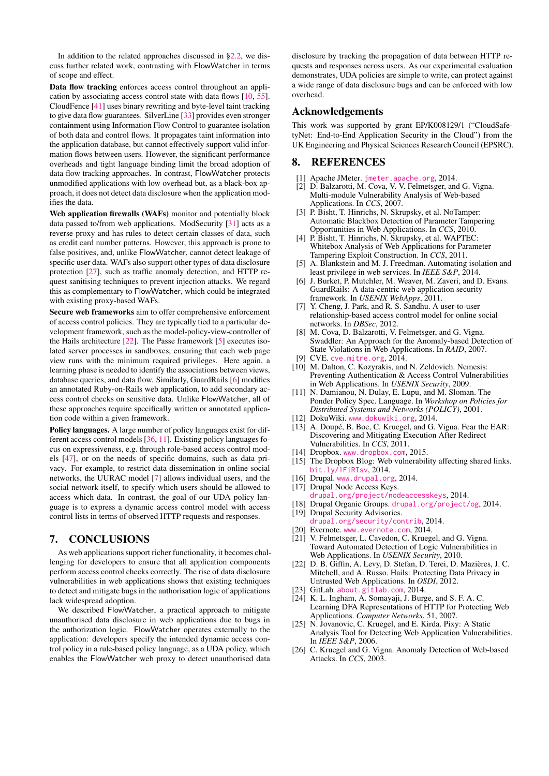In addition to the related approaches discussed in [§2.2,](#page-2-0) we discuss further related work, contrasting with FlowWatcher in terms of scope and effect.

Data flow tracking enforces access control throughout an application by associating access control state with data flows [\[10,](#page-11-13) [55\]](#page-12-17). CloudFence [\[41\]](#page-12-24) uses binary rewriting and byte-level taint tracking to give data flow guarantees. SilverLine [\[33\]](#page-12-25) provides even stronger containment using Information Flow Control to guarantee isolation of both data and control flows. It propagates taint information into the application database, but cannot effectively support valid information flows between users. However, the significant performance overheads and tight language binding limit the broad adoption of data flow tracking approaches. In contrast, FlowWatcher protects unmodified applications with low overhead but, as a black-box approach, it does not detect data disclosure when the application modifies the data.

Web application firewalls (WAFs) monitor and potentially block data passed to/from web applications. ModSecurity [\[31\]](#page-12-26) acts as a reverse proxy and has rules to detect certain classes of data, such as credit card number patterns. However, this approach is prone to false positives, and, unlike FlowWatcher, cannot detect leakage of specific user data. WAFs also support other types of data disclosure protection [\[27\]](#page-12-27), such as traffic anomaly detection, and HTTP request sanitising techniques to prevent injection attacks. We regard this as complementary to FlowWatcher, which could be integrated with existing proxy-based WAFs.

Secure web frameworks aim to offer comprehensive enforcement of access control policies. They are typically tied to a particular development framework, such as the model-policy-view-controller of the Hails architecture [\[22\]](#page-11-22). The Passe framework [\[5\]](#page-11-23) executes isolated server processes in sandboxes, ensuring that each web page view runs with the minimum required privileges. Here again, a learning phase is needed to identify the associations between views, database queries, and data flow. Similarly, GuardRails [\[6\]](#page-11-24) modifies an annotated Ruby-on-Rails web application, to add secondary access control checks on sensitive data. Unlike FlowWatcher, all of these approaches require specifically written or annotated application code within a given framework.

Policy languages. A large number of policy languages exist for different access control models [\[36,](#page-12-28) [11\]](#page-11-25). Existing policy languages focus on expressiveness, e.g. through role-based access control models [\[47\]](#page-12-29), or on the needs of specific domains, such as data privacy. For example, to restrict data dissemination in online social networks, the UURAC model [\[7\]](#page-11-26) allows individual users, and the social network itself, to specify which users should be allowed to access which data. In contrast, the goal of our UDA policy language is to express a dynamic access control model with access control lists in terms of observed HTTP requests and responses.

# <span id="page-11-5"></span>7. CONCLUSIONS

As web applications support richer functionality, it becomes challenging for developers to ensure that all application components perform access control checks correctly. The rise of data disclosure vulnerabilities in web applications shows that existing techniques to detect and mitigate bugs in the authorisation logic of applications lack widespread adoption.

We described FlowWatcher, a practical approach to mitigate unauthorised data disclosure in web applications due to bugs in the authorization logic. FlowWatcher operates externally to the application: developers specify the intended dynamic access control policy in a rule-based policy language, as a UDA policy, which enables the FlowWatcher web proxy to detect unauthorised data disclosure by tracking the propagation of data between HTTP requests and responses across users. As our experimental evaluation demonstrates, UDA policies are simple to write, can protect against a wide range of data disclosure bugs and can be enforced with low overhead.

## Acknowledgements

This work was supported by grant EP/K008129/1 ("CloudSafetyNet: End-to-End Application Security in the Cloud") from the UK Engineering and Physical Sciences Research Council (EPSRC).

#### 8. REFERENCES

- <span id="page-11-21"></span>[1] Apache JMeter. <jmeter.apache.org>, 2014.
- <span id="page-11-7"></span>[2] D. Balzarotti, M. Cova, V. V. Felmetsger, and G. Vigna. Multi-module Vulnerability Analysis of Web-based Applications. In *CCS*, 2007.
- <span id="page-11-8"></span>[3] P. Bisht, T. Hinrichs, N. Skrupsky, et al. NoTamper: Automatic Blackbox Detection of Parameter Tampering Opportunities in Web Applications. In *CCS*, 2010.
- <span id="page-11-9"></span>[4] P. Bisht, T. Hinrichs, N. Skrupsky, et al. WAPTEC: Whitebox Analysis of Web Applications for Parameter Tampering Exploit Construction. In *CCS*, 2011.
- <span id="page-11-23"></span>[5] A. Blankstein and M. J. Freedman. Automating isolation and least privilege in web services. In *IEEE S&P*, 2014.
- <span id="page-11-24"></span>[6] J. Burket, P. Mutchler, M. Weaver, M. Zaveri, and D. Evans. GuardRails: A data-centric web application security framework. In *USENIX WebApps*, 2011.
- <span id="page-11-26"></span>[7] Y. Cheng, J. Park, and R. S. Sandhu. A user-to-user relationship-based access control model for online social networks. In *DBSec*, 2012.
- <span id="page-11-10"></span>[8] M. Cova, D. Balzarotti, V. Felmetsger, and G. Vigna. Swaddler: An Approach for the Anomaly-based Detection of State Violations in Web Applications. In *RAID*, 2007.
- <span id="page-11-0"></span>[9] CVE. <cve.mitre.org>, 2014.
- <span id="page-11-13"></span>[10] M. Dalton, C. Kozyrakis, and N. Zeldovich. Nemesis: Preventing Authentication & Access Control Vulnerabilities in Web Applications. In *USENIX Security*, 2009.
- <span id="page-11-25"></span>[11] N. Damianou, N. Dulay, E. Lupu, and M. Sloman. The Ponder Policy Spec. Language. In *Workshop on Policies for Distributed Systems and Networks (POLICY)*, 2001.
- <span id="page-11-4"></span>[12] DokuWiki. <www.dokuwiki.org>, 2014.
- <span id="page-11-6"></span>[13] A. Doupé, B. Boe, C. Kruegel, and G. Vigna. Fear the EAR: Discovering and Mitigating Execution After Redirect Vulnerabilities. In *CCS*, 2011.
- <span id="page-11-16"></span>[14] Dropbox. <www.dropbox.com>, 2015.
- <span id="page-11-17"></span>[15] The Dropbox Blog: Web vulnerability affecting shared links. <bit.ly/1FiRIsv>, 2014.
- <span id="page-11-1"></span>[16] Drupal. <www.drupal.org>, 2014.
- <span id="page-11-19"></span>[17] Drupal Node Access Keys.
	- <drupal.org/project/nodeaccesskeys>, 2014.
- <span id="page-11-15"></span>[18] Drupal Organic Groups. <drupal.org/project/og>, 2014.
- <span id="page-11-18"></span>[19] Drupal Security Advisories. <drupal.org/security/contrib>, 2014.
- <span id="page-11-14"></span>[20] Evernote. <www.evernote.com>, 2014.
- <span id="page-11-11"></span>[21] V. Felmetsger, L. Cavedon, C. Kruegel, and G. Vigna. Toward Automated Detection of Logic Vulnerabilities in Web Applications. In *USENIX Security*, 2010.
- <span id="page-11-22"></span>[22] D. B. Giffin, A. Levy, D. Stefan, D. Terei, D. Mazières, J. C. Mitchell, and A. Russo. Hails: Protecting Data Privacy in Untrusted Web Applications. In *OSDI*, 2012.
- <span id="page-11-20"></span>[23] GitLab. <about.gitlab.com>, 2014.
- <span id="page-11-12"></span>[24] K. L. Ingham, A. Somayaji, J. Burge, and S. F. A. C. Learning DFA Representations of HTTP for Protecting Web Applications. *Computer Networks*, 51, 2007.
- <span id="page-11-2"></span>[25] N. Jovanovic, C. Kruegel, and E. Kirda. Pixy: A Static Analysis Tool for Detecting Web Application Vulnerabilities. In *IEEE S&P*, 2006.
- <span id="page-11-3"></span>[26] C. Kruegel and G. Vigna. Anomaly Detection of Web-based Attacks. In *CCS*, 2003.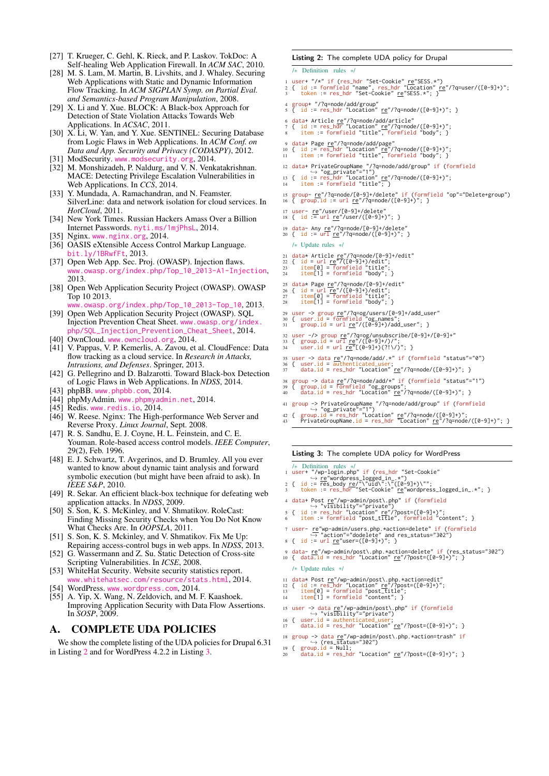- <span id="page-12-27"></span>[27] T. Krueger, C. Gehl, K. Rieck, and P. Laskov. TokDoc: A Self-healing Web Application Firewall. In *ACM SAC*, 2010.
- <span id="page-12-2"></span>[28] M. S. Lam, M. Martin, B. Livshits, and J. Whaley. Securing Web Applications with Static and Dynamic Information Flow Tracking. In *ACM SIGPLAN Symp. on Partial Eval. and Semantics-based Program Manipulation*, 2008.
- <span id="page-12-15"></span>[29] X. Li and Y. Xue. BLOCK: A Black-box Approach for Detection of State Violation Attacks Towards Web Applications. In *ACSAC*, 2011.
- <span id="page-12-14"></span>[30] X. Li, W. Yan, and Y. Xue. SENTINEL: Securing Database from Logic Flaws in Web Applications. In *ACM Conf. on Data and App. Security and Privacy (CODASPY)*, 2012.
- <span id="page-12-26"></span>[31] ModSecurity. <www.modsecurity.org>, 2014.
- <span id="page-12-10"></span>[32] M. Monshizadeh, P. Naldurg, and V. N. Venkatakrishnan. MACE: Detecting Privilege Escalation Vulnerabilities in Web Applications. In *CCS*, 2014.
- <span id="page-12-25"></span>[33] Y. Mundada, A. Ramachandran, and N. Feamster. SilverLine: data and network isolation for cloud services. In *HotCloud*, 2011.
- <span id="page-12-5"></span>[34] New York Times. Russian Hackers Amass Over a Billion Internet Passwords. <nyti.ms/1mjPhsL>, 2014.
- <span id="page-12-8"></span>[35] Nginx. <www.nginx.org>, 2014.
- <span id="page-12-28"></span>[36] OASIS eXtensible Access Control Markup Language. <bit.ly/1BRwfFt>, 2013.
- <span id="page-12-0"></span>[37] Open Web App. Sec. Proj. (OWASP). Injection flaws. [www.owasp.org/index.php/Top\\_10\\_2013-A1-Injection](www.owasp.org/index.php/Top_10_2013-A1-Injection), 2013.
- <span id="page-12-3"></span>[38] Open Web Application Security Project (OWASP). OWASP Top 10 2013.
- <span id="page-12-1"></span>[www.owasp.org/index.php/Top\\_10\\_2013-Top\\_10](www.owasp.org/index.php/Top_10_2013-Top_10), 2013. [39] Open Web Application Security Project (OWASP). SQL

Injection Prevention Cheat Sheet. [www.owasp.org/index.](www.owasp.org/index.php/SQL_Injection_Prevention_Cheat_Sheet) [php/SQL\\_Injection\\_Prevention\\_Cheat\\_Sheet](www.owasp.org/index.php/SQL_Injection_Prevention_Cheat_Sheet), 2014. [40] OwnCloud. <www.owncloud.org>, 2014.

- <span id="page-12-24"></span><span id="page-12-21"></span>[41] V. Pappas, V. P. Kemerlis, A. Zavou, et al. CloudFence: Data flow tracking as a cloud service. In *Research in Attacks, Intrusions, and Defenses*. Springer, 2013.
- <span id="page-12-16"></span>[42] G. Pellegrino and D. Balzarotti. Toward Black-box Detection of Logic Flaws in Web Applications. In *NDSS*, 2014.
- <span id="page-12-9"></span>[43] phpBB. <www.phpbb.com>, 2014.
- <span id="page-12-19"></span>[44] phpMyAdmin. <www.phpmyadmin.net>, 2014.
- <span id="page-12-23"></span>[45] Redis. <www.redis.io>, 2014.
- <span id="page-12-22"></span>[46] W. Reese. Nginx: The High-performance Web Server and Reverse Proxy. *Linux Journal*, Sept. 2008.
- <span id="page-12-29"></span>[47] R. S. Sandhu, E. J. Coyne, H. L. Feinstein, and C. E. Youman. Role-based access control models. *IEEE Computer*, 29(2), Feb. 1996.
- <span id="page-12-18"></span>[48] E. J. Schwartz, T. Avgerinos, and D. Brumley. All you ever wanted to know about dynamic taint analysis and forward symbolic execution (but might have been afraid to ask). In *IEEE S&P*, 2010.
- <span id="page-12-13"></span>[49] R. Sekar. An efficient black-box technique for defeating web application attacks. In *NDSS*, 2009.
- <span id="page-12-6"></span>[50] S. Son, K. S. McKinley, and V. Shmatikov. RoleCast: Finding Missing Security Checks when You Do Not Know What Checks Are. In *OOPSLA*, 2011.
- <span id="page-12-11"></span>[51] S. Son, K. S. Mckinley, and V. Shmatikov. Fix Me Up Repairing access-control bugs in web apps. In *NDSS*, 2013.
- <span id="page-12-12"></span>[52] G. Wassermann and Z. Su. Static Detection of Cross-site Scripting Vulnerabilities. In *ICSE*, 2008.
- <span id="page-12-4"></span>[53] WhiteHat Security. Website security statistics report. <www.whitehatsec.com/resource/stats.html>, 2014.
- <span id="page-12-7"></span>[54] WordPress. <www.wordpress.com>, 2014.
- <span id="page-12-17"></span>[55] A. Yip, X. Wang, N. Zeldovich, and M. F. Kaashoek. Improving Application Security with Data Flow Assertions. In *SOSP*, 2009.

# <span id="page-12-20"></span>A. COMPLETE UDA POLICIES

<span id="page-12-30"></span>We show the complete listing of the UDA policies for Drupal 6.31 in Listing [2](#page-12-30) and for WordPress 4.2.2 in Listing [3.](#page-12-31)

#### Listing 2: The complete UDA policy for Drupal

/\* Definition rules \*/

- 
- ı user+ "/\*" if (res\_hdr "Set-Cookie" <u>re</u>"SESS.\*")<br>2 { id := formfield "name", res\_hdr "Location" <u>re</u>"/?q=user/([0-9]+)";<br>3 token := res\_hdr "Set-Cookie" <u>re</u>"SESS.\*"; }
- 4 group+ "/?q=node/add/group" 5 { id := res\_hdr "Location" re"/?q=node/([0-9]+)"; }
- 
- 6 data+ Article <u>re</u>"/?q=node/add/article"<br>7 { id := res\_hdr "Location" <u>re</u>"/?q=node/([0-9]+)";<br>8 item := formfield "title", formfield "body"; }
- 
- 9 data+ Page re"/?q=node/add/page" 10 { id := res\_hdr "Location" re"/?q=node/([0-9]+)"; 11 item := formfield "title", formfield "body"; }
- 12 data+ PrivateGroupName "/?q=node/add/group" if (formfield<br>
→ "og\_private"="1")<br>
13 { id := res\_hdr "Location" re"/?q=node/([0-9]+)";<br>
14 item := formfield "title"; }
- 
- 
- 15 group- re"/?q=node/[0-9]+/delete" if (formfield "op"="Delete+group") 16 { group.id := url re"/?q=node/([0-9]+)"; }
- 17 user- <u>re</u>"/user/[0-9]+/delete"<br>18 { id := url <u>re</u>"/user/([0-9]+)"; }
- 19 data- Any <u>re</u>"/?q=node/[0-9]+/delete"<br>20 { id := url <u>re</u>"/?q=node/([0-9]+)"; }
- 

/\* Update rules \*/

- 
- 21 data\* Article <u>re</u>"/?q=node/[0-9]+/edit"<br>22 { id = url <u>re</u>"/([0-9]+)/edit";<br>23 item[0] = formfield "body"; }<br>item[1] = formfield "body"; }
- 25 data\* Page <u>re</u>"/?q=node/[0-9]+/edit"<br>26 { id = url re"/([0-9]+)/edit";<br>27 item[0] = formfield "tidle";<br>item[1] = formfield "body"; }
- 
- 29 user -> group re"/?q=og/users/[0-9]+/add\_user" 30 { user.id = formfield "og\_names"; 31 group.id = url re"/([0-9]+)/add\_user"; }
- 32 user -/> group re"/?q=og/unsubscribe/[0-9]+/[0-9]+"<br>33 { group.id = url <u>re</u>"((0-9]+)//";<br>34 user.id = url <u>re</u>"[(0-9]+)(?!\/)"; }
- 35 user -> data <u>re</u>"/?q=node/add/.\*" if (formfield "status"="0")<br>36 { user.id = authenticated\_user;<br>37 data.id = res\_hdr "Location" <u>re</u>"/?q=node/([0-9]+)"; }
- 
- 38 group -> data re"/?q=node/add/\*" if (formfield "status"="1") 39 { group.id = formfield "og\_groups"; 40 data.id = res\_hdr "Location" re"/?q=node/([0-9]+)"; }
- 41 group -> PrivateGroupName "/?q=node/add/group" if (formfield<br>→ "og\_private"="1")<br>42 { group.id = res\_hdr "Location" re"/?q=node/([0-9]+)"; }<br>43 PrivateGroupName.id = res\_hdr "Location" <u>re</u>"/?q=node/([0-9]+)"; }
- 

#### <span id="page-12-31"></span>Listing 3: The complete UDA policy for WordPress

- /\* Definition rules \*/ 1 user+ "/wp-login.php" if (res\_hdr "Set-Cookie"
- 
- → <u>re</u>"wordpress\_logged\_in\_.\*")<br>2 { id := res\_body re/"\"uid\":\"([0-9]+)\"";<br>3 token := res\_hdr "Set-Cookie" <u>re</u>"wordpress\_logged\_in\_.\*"; }
- 
- 
- 
- 
- 
- 
- 9 data- <u>re</u>"/wp-admin/post\.php.\*action=delete" if (res\_status="302")<br>10 { data.id = res\_hdr "Location" <u>re</u>"/?post=([0-9]+)"; }

/\* Update rules \*/

- 11 data\* Post <u>re</u>"/wp-admin/post\.php.\*action=edit"<br>12 { id := res\_hdr "Location" <u>re</u>"/?post=([0-9]+)";<br>13 item[0] = formfield "content"; }<br>item[1] = formfield "content"; }
- 
- 
- 15 user -> data re"/wp-admin/post\.php" if (formfield<br>
16 { user.id = authenticated\_user;<br>
16 { user.id = authenticated\_user;<br>
17 data.id = res\_hdr "Location" <u>re</u>"/?post=([0-9]+)"; }
- 
- 18 group -> data <u>re</u>"/wp-admin/post\.php.\*action=trash" if<br>  $\rightarrow$  (res\_status="302")<br>
19 { group.id = Null;<br>
20 data.id = res\_hdr "Location" <u>re</u>"/?post=([0-9]+)"; }
- 
- 4 data+ Post <u>re</u>"/wp-admin/post\.php" if (formfield<br>→ "visibility"="private")<br>5 { id := res\_hdr "Location" <u>re</u>"/?post=([0-9]+)";<br>6 item := formfield "post\_title", formfield "content"; }
- 7 user- <u>re</u>"wp-admin/users.php.\*action=delete" if (formfield<br>→ "action"="dodelete" and res\_status="302")<br>8 { id := url <u>re</u>"user=([0-9]+)"; }
-